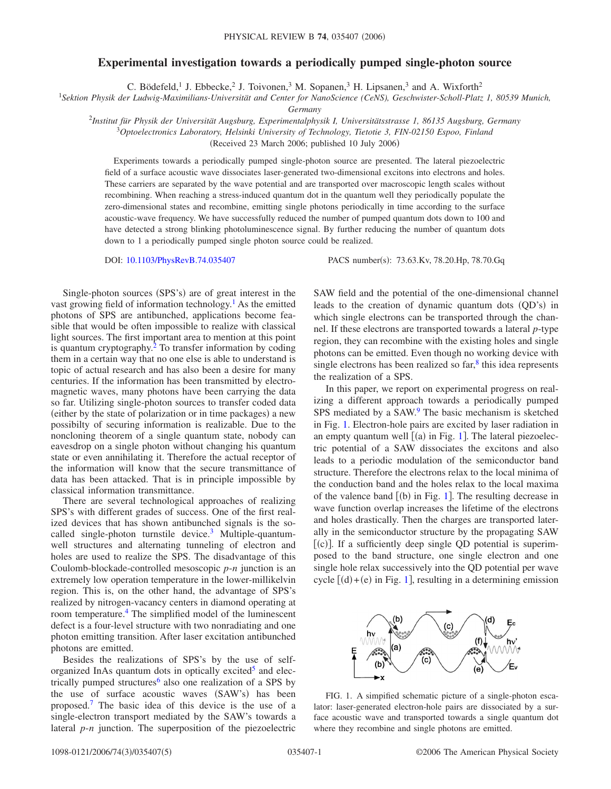## **Experimental investigation towards a periodically pumped single-photon source**

C. Bödefeld,<sup>1</sup> J. Ebbecke,<sup>2</sup> J. Toivonen,<sup>3</sup> M. Sopanen,<sup>3</sup> H. Lipsanen,<sup>3</sup> and A. Wixforth<sup>2</sup>

<sup>1</sup> Sektion Physik der Ludwig-Maximilians-Universität and Center for NanoScience (CeNS), Geschwister-Scholl-Platz 1, 80539 Munich,

*Germany*

2 *Institut für Physik der Universität Augsburg, Experimentalphysik I, Universitätsstrasse 1, 86135 Augsburg, Germany*

<sup>3</sup>*Optoelectronics Laboratory, Helsinki University of Technology, Tietotie 3, FIN-02150 Espoo, Finland*

(Received 23 March 2006; published 10 July 2006)

Experiments towards a periodically pumped single-photon source are presented. The lateral piezoelectric field of a surface acoustic wave dissociates laser-generated two-dimensional excitons into electrons and holes. These carriers are separated by the wave potential and are transported over macroscopic length scales without recombining. When reaching a stress-induced quantum dot in the quantum well they periodically populate the zero-dimensional states and recombine, emitting single photons periodically in time according to the surface acoustic-wave frequency. We have successfully reduced the number of pumped quantum dots down to 100 and have detected a strong blinking photoluminescence signal. By further reducing the number of quantum dots down to 1 a periodically pumped single photon source could be realized.

DOI: [10.1103/PhysRevB.74.035407](http://dx.doi.org/10.1103/PhysRevB.74.035407)

PACS number(s): 73.63.Kv, 78.20.Hp, 78.70.Gq

Single-photon sources (SPS's) are of great interest in the vast growing field of information technology.<sup>1</sup> As the emitted photons of SPS are antibunched, applications become feasible that would be often impossible to realize with classical light sources. The first important area to mention at this point is quantum cryptography.<sup>2</sup> To transfer information by coding them in a certain way that no one else is able to understand is topic of actual research and has also been a desire for many centuries. If the information has been transmitted by electromagnetic waves, many photons have been carrying the data so far. Utilizing single-photon sources to transfer coded data (either by the state of polarization or in time packages) a new possibilty of securing information is realizable. Due to the noncloning theorem of a single quantum state, nobody can eavesdrop on a single photon without changing his quantum state or even annihilating it. Therefore the actual receptor of the information will know that the secure transmittance of data has been attacked. That is in principle impossible by classical information transmittance.

There are several technological approaches of realizing SPS's with different grades of success. One of the first realized devices that has shown antibunched signals is the socalled single-photon turnstile device.<sup>3</sup> Multiple-quantumwell structures and alternating tunneling of electron and holes are used to realize the SPS. The disadvantage of this Coulomb-blockade-controlled mesoscopic *p*-*n* junction is an extremely low operation temperature in the lower-millikelvin region. This is, on the other hand, the advantage of SPS's realized by nitrogen-vacancy centers in diamond operating at room temperature.<sup>4</sup> The simplified model of the luminescent defect is a four-level structure with two nonradiating and one photon emitting transition. After laser excitation antibunched photons are emitted.

Besides the realizations of SPS's by the use of selforganized InAs quantum dots in optically excited<sup>5</sup> and electrically pumped structures<sup>6</sup> also one realization of a SPS by the use of surface acoustic waves (SAW's) has been proposed[.7](#page-4-6) The basic idea of this device is the use of a single-electron transport mediated by the SAW's towards a lateral *p*-*n* junction. The superposition of the piezoelectric SAW field and the potential of the one-dimensional channel leads to the creation of dynamic quantum dots (QD's) in which single electrons can be transported through the channel. If these electrons are transported towards a lateral *p*-type region, they can recombine with the existing holes and single photons can be emitted. Even though no working device with single electrons has been realized so far, $\delta$  this idea represents the realization of a SPS.

In this paper, we report on experimental progress on realizing a different approach towards a periodically pumped SPS mediated by a SAW.<sup>9</sup> The basic mechanism is sketched in Fig. [1.](#page-0-0) Electron-hole pairs are excited by laser radiation in an empty quantum well  $[(a)$  in Fig. [1](#page-0-0)]. The lateral piezoelectric potential of a SAW dissociates the excitons and also leads to a periodic modulation of the semiconductor band structure. Therefore the electrons relax to the local minima of the conduction band and the holes relax to the local maxima of the valence band  $\lbrack$  (b) in Fig. [1](#page-0-0)]. The resulting decrease in wave function overlap increases the lifetime of the electrons and holes drastically. Then the charges are transported laterally in the semiconductor structure by the propagating SAW [(c)]. If a sufficiently deep single QD potential is superimposed to the band structure, one single electron and one single hole relax successively into the QD potential per wave cycle  $[(d)+(e)$  in Fig. [1](#page-0-0)], resulting in a determining emission

<span id="page-0-0"></span>

FIG. 1. A simpified schematic picture of a single-photon escalator: laser-generated electron-hole pairs are dissociated by a surface acoustic wave and transported towards a single quantum dot where they recombine and single photons are emitted.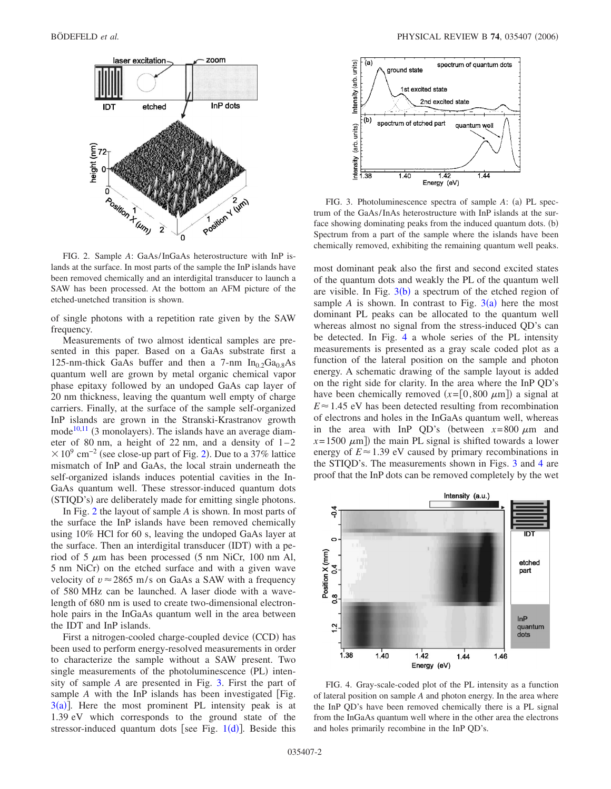<span id="page-1-0"></span>

FIG. 2. Sample *A*: GaAs/InGaAs heterostructure with InP islands at the surface. In most parts of the sample the InP islands have been removed chemically and an interdigital transducer to launch a SAW has been processed. At the bottom an AFM picture of the etched-unetched transition is shown.

of single photons with a repetition rate given by the SAW frequency.

Measurements of two almost identical samples are presented in this paper. Based on a GaAs substrate first a 125-nm-thick GaAs buffer and then a 7-nm  $In<sub>0.2</sub>Ga<sub>0.8</sub>As$ quantum well are grown by metal organic chemical vapor phase epitaxy followed by an undoped GaAs cap layer of 20 nm thickness, leaving the quantum well empty of charge carriers. Finally, at the surface of the sample self-organized InP islands are grown in the Stranski-Krastranov growth mode<sup>10[,11](#page-4-10)</sup> (3 monolayers). The islands have an average diameter of 80 nm, a height of 22 nm, and a density of  $1-2$  $\times 10^{9}$  cm<sup>-[2](#page-1-0)</sup> (see close-up part of Fig. 2). Due to a 37% lattice mismatch of InP and GaAs, the local strain underneath the self-organized islands induces potential cavities in the In-GaAs quantum well. These stressor-induced quantum dots (STIQD's) are deliberately made for emitting single photons.

In Fig. [2](#page-1-0) the layout of sample *A* is shown. In most parts of the surface the InP islands have been removed chemically using 10% HCl for 60 s, leaving the undoped GaAs layer at the surface. Then an interdigital transducer (IDT) with a period of 5  $\mu$ m has been processed (5 nm NiCr, 100 nm Al, 5 nm NiCr) on the etched surface and with a given wave velocity of  $v \approx 2865$  m/s on GaAs a SAW with a frequency of 580 MHz can be launched. A laser diode with a wavelength of 680 nm is used to create two-dimensional electronhole pairs in the InGaAs quantum well in the area between the IDT and InP islands.

First a nitrogen-cooled charge-coupled device (CCD) has been used to perform energy-resolved measurements in order to characterize the sample without a SAW present. Two single measurements of the photoluminescence (PL) intensity of sample *A* are presented in Fig. [3.](#page-1-1) First the part of sample  $A$  with the InP islands has been investigated  $[Fig. 12]$  $3(a)$  $3(a)$ ]. Here the most prominent PL intensity peak is at 1.39 eV which corresponds to the ground state of the stressor-induced quantum dots [see Fig.  $1(d)$  $1(d)$ ]. Beside this

<span id="page-1-1"></span>

FIG. 3. Photoluminescence spectra of sample A: (a) PL spectrum of the GaAs/InAs heterostructure with InP islands at the surface showing dominating peaks from the induced quantum dots. (b) Spectrum from a part of the sample where the islands have been chemically removed, exhibiting the remaining quantum well peaks.

most dominant peak also the first and second excited states of the quantum dots and weakly the PL of the quantum well are visible. In Fig.  $3(b)$  $3(b)$  a spectrum of the etched region of sample *A* is shown. In contrast to Fig.  $3(a)$  $3(a)$  here the most dominant PL peaks can be allocated to the quantum well whereas almost no signal from the stress-induced QD's can be detected. In Fig. [4](#page-1-2) a whole series of the PL intensity measurements is presented as a gray scale coded plot as a function of the lateral position on the sample and photon energy. A schematic drawing of the sample layout is added on the right side for clarity. In the area where the InP QD's have been chemically removed  $(x=[0,800 \ \mu m])$  a signal at  $E \approx 1.45$  eV has been detected resulting from recombination of electrons and holes in the InGaAs quantum well, whereas in the area with InP QD's (between  $x=800 \mu m$  and  $x=1500 \mu m$ ]) the main PL signal is shifted towards a lower energy of  $E \approx 1.39$  eV caused by primary recombinations in the STIQD's. The measurements shown in Figs. [3](#page-1-1) and [4](#page-1-2) are proof that the InP dots can be removed completely by the wet

<span id="page-1-2"></span>

FIG. 4. Gray-scale-coded plot of the PL intensity as a function of lateral position on sample *A* and photon energy. In the area where the InP QD's have been removed chemically there is a PL signal from the InGaAs quantum well where in the other area the electrons and holes primarily recombine in the InP QD's.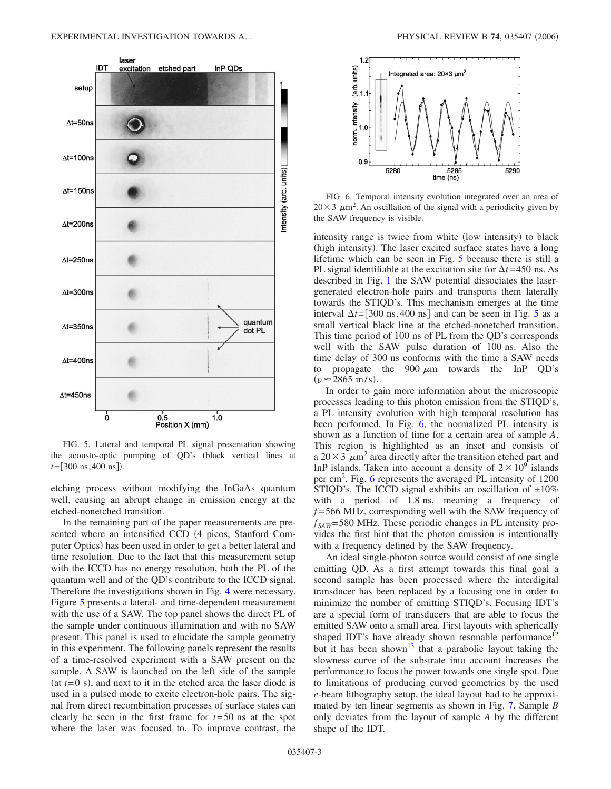<span id="page-2-0"></span>

FIG. 5. Lateral and temporal PL signal presentation showing the acousto-optic pumping of QD's (black vertical lines at *t*=[300 ns, 400 ns]).

etching process without modifying the InGaAs quantum well, causing an abrupt change in emission energy at the etched-nonetched transition.

In the remaining part of the paper measurements are presented where an intensified CCD (4 picos, Stanford Computer Optics) has been used in order to get a better lateral and time resolution. Due to the fact that this measurement setup with the ICCD has no energy resolution, both the PL of the quantum well and of the QD's contribute to the ICCD signal. Therefore the investigations shown in Fig. [4](#page-1-2) were necessary. Figure [5](#page-2-0) presents a lateral- and time-dependent measurement with the use of a SAW. The top panel shows the direct PL of the sample under continuous illumination and with no SAW present. This panel is used to elucidate the sample geometry in this experiment. The following panels represent the results of a time-resolved experiment with a SAW present on the sample. A SAW is launched on the left side of the sample  $(at t=0 s)$ , and next to it in the etched area the laser diode is used in a pulsed mode to excite electron-hole pairs. The signal from direct recombination processes of surface states can clearly be seen in the first frame for *t*=50 ns at the spot where the laser was focused to. To improve contrast, the

<span id="page-2-1"></span>

FIG. 6. Temporal intensity evolution integrated over an area of  $20 \times 3 \mu m^2$ . An oscillation of the signal with a periodicity given by the SAW frequency is visible.

intensity range is twice from white (low intensity) to black (high intensity). The laser excited surface states have a long lifetime which can be seen in Fig. [5](#page-2-0) because there is still a PL signal identifiable at the excitation site for  $\Delta t$ =450 ns. As described in Fig. [1](#page-0-0) the SAW potential dissociates the lasergenerated electron-hole pairs and transports them laterally towards the STIQD's. This mechanism emerges at the time interval  $\Delta t = [300 \text{ ns}, 400 \text{ ns}]$  and can be seen in Fig. [5](#page-2-0) as a small vertical black line at the etched-nonetched transition. This time period of 100 ns of PL from the QD's corresponds well with the SAW pulse duration of 100 ns. Also the time delay of 300 ns conforms with the time a SAW needs to propagate the  $900 \mu m$  towards the InP QD's  $(v \approx 2865 \text{ m/s}).$ 

In order to gain more information about the microscopic processes leading to this photon emission from the STIQD's, a PL intensity evolution with high temporal resolution has been performed. In Fig. [6,](#page-2-1) the normalized PL intensity is shown as a function of time for a certain area of sample *A*. This region is highlighted as an inset and consists of a  $20 \times 3$   $\mu$ m<sup>2</sup> area directly after the transition etched part and InP islands. Taken into account a density of  $2 \times 10^9$  islands per cm<sup>2</sup>, Fig. [6](#page-2-1) represents the averaged PL intensity of 1200 STIQD's. The ICCD signal exhibits an oscillation of  $\pm 10\%$ with a period of 1.8 ns, meaning a frequency of *f* =566 MHz, corresponding well with the SAW frequency of  $f_{SAW}$ =580 MHz. These periodic changes in PL intensity provides the first hint that the photon emission is intentionally with a frequency defined by the SAW frequency.

An ideal single-photon source would consist of one single emitting QD. As a first attempt towards this final goal a second sample has been processed where the interdigital transducer has been replaced by a focusing one in order to minimize the number of emitting STIQD's. Focusing IDT's are a special form of transducers that are able to focus the emitted SAW onto a small area. First layouts with spherically shaped IDT's have already shown resonable performance<sup>12</sup> but it has been shown<sup>13</sup> that a parabolic layout taking the slowness curve of the substrate into account increases the performance to focus the power towards one single spot. Due to limitations of producing curved geometries by the used *e*-beam lithography setup, the ideal layout had to be approximated by ten linear segments as shown in Fig. [7.](#page-3-0) Sample *B* only deviates from the layout of sample *A* by the different shape of the IDT.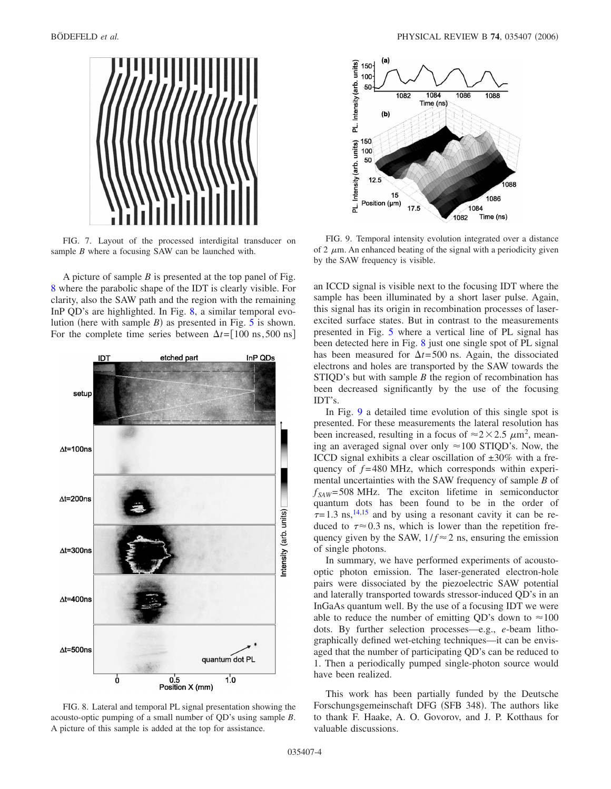<span id="page-3-0"></span>

FIG. 7. Layout of the processed interdigital transducer on sample *B* where a focusing SAW can be launched with.

A picture of sample *B* is presented at the top panel of Fig. [8](#page-3-1) where the parabolic shape of the IDT is clearly visible. For clarity, also the SAW path and the region with the remaining InP QD's are highlighted. In Fig. [8,](#page-3-1) a similar temporal evolution (here with sample  $B$ ) as presented in Fig.  $5$  is shown. For the complete time series between  $\Delta t = [100 \text{ ns}, 500 \text{ ns}]$ 

<span id="page-3-1"></span>

FIG. 8. Lateral and temporal PL signal presentation showing the acousto-optic pumping of a small number of QD's using sample *B*. A picture of this sample is added at the top for assistance.

<span id="page-3-2"></span>

FIG. 9. Temporal intensity evolution integrated over a distance of 2  $\mu$ m. An enhanced beating of the signal with a periodicity given by the SAW frequency is visible.

an ICCD signal is visible next to the focusing IDT where the sample has been illuminated by a short laser pulse. Again, this signal has its origin in recombination processes of laserexcited surface states. But in contrast to the measurements presented in Fig. [5](#page-2-0) where a vertical line of PL signal has been detected here in Fig. [8](#page-3-1) just one single spot of PL signal has been measured for  $\Delta t = 500$  ns. Again, the dissociated electrons and holes are transported by the SAW towards the STIQD's but with sample *B* the region of recombination has been decreased significantly by the use of the focusing IDT's.

In Fig. [9](#page-3-2) a detailed time evolution of this single spot is presented. For these measurements the lateral resolution has been increased, resulting in a focus of  $\approx$  2  $\times$  2.5  $\mu$ m<sup>2</sup>, meaning an averaged signal over only  $\approx 100$  STIQD's. Now, the ICCD signal exhibits a clear oscillation of  $\pm 30\%$  with a frequency of  $f=480$  MHz, which corresponds within experimental uncertainties with the SAW frequency of sample *B* of  $f_{SAW}$ =508 MHz. The exciton lifetime in semiconductor quantum dots has been found to be in the order of  $\tau$ =1.3 ns,<sup>14[,15](#page-4-14)</sup> and by using a resonant cavity it can be reduced to  $\tau \approx 0.3$  ns, which is lower than the repetition frequency given by the SAW,  $1/f \approx 2$  ns, ensuring the emission of single photons.

In summary, we have performed experiments of acoustooptic photon emission. The laser-generated electron-hole pairs were dissociated by the piezoelectric SAW potential and laterally transported towards stressor-induced QD's in an InGaAs quantum well. By the use of a focusing IDT we were able to reduce the number of emitting QD's down to  $\approx 100$ dots. By further selection processes—e.g., *e*-beam lithographically defined wet-etching techniques—it can be envisaged that the number of participating QD's can be reduced to 1. Then a periodically pumped single-photon source would have been realized.

This work has been partially funded by the Deutsche Forschungsgemeinschaft DFG (SFB 348). The authors like to thank F. Haake, A. O. Govorov, and J. P. Kotthaus for valuable discussions.